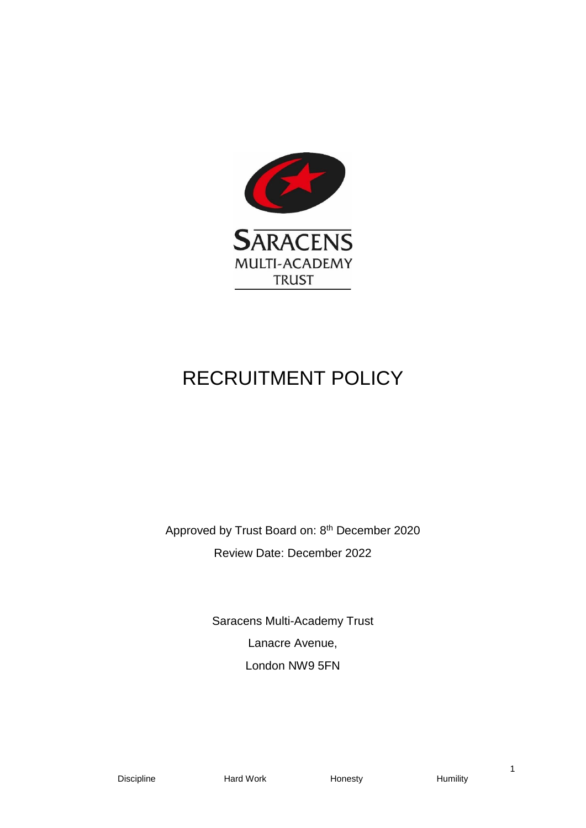

# RECRUITMENT POLICY

Approved by Trust Board on: 8<sup>th</sup> December 2020 Review Date: December 2022

> Saracens Multi-Academy Trust Lanacre Avenue, London NW9 5FN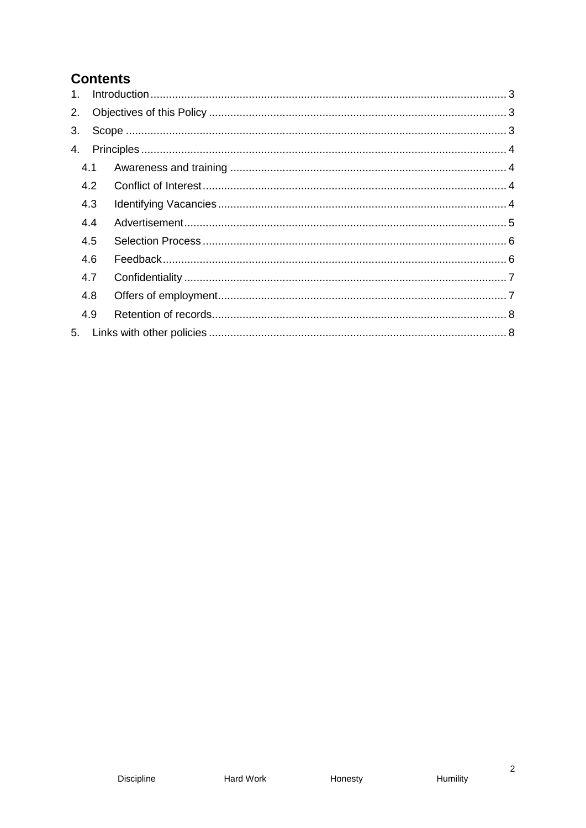# **Contents**

| $1_{-}$ |     |  |
|---------|-----|--|
| 2.      |     |  |
| 3.      |     |  |
| 4.      |     |  |
|         | 4.1 |  |
|         | 4.2 |  |
|         | 4.3 |  |
|         | 4.4 |  |
|         | 4.5 |  |
|         | 4.6 |  |
|         | 4.7 |  |
|         | 4.8 |  |
|         | 4.9 |  |
| 5.      |     |  |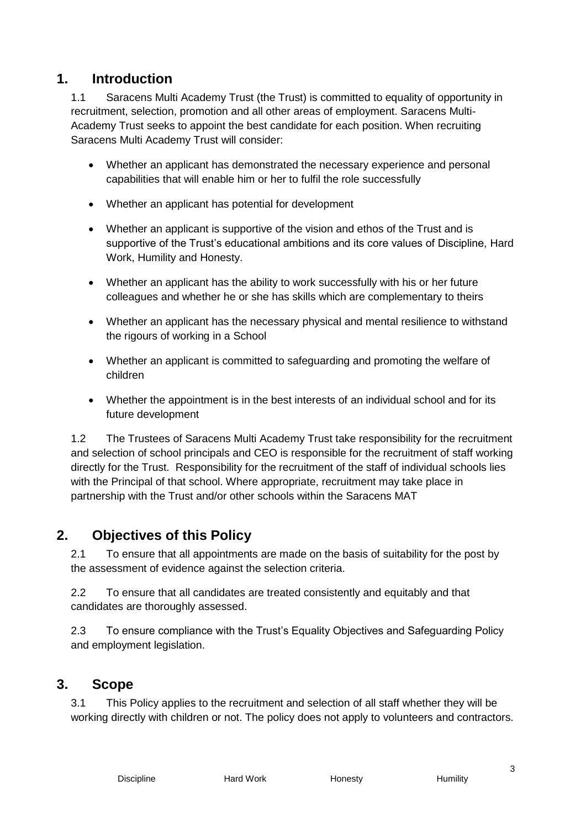# <span id="page-2-0"></span>**1. Introduction**

1.1 Saracens Multi Academy Trust (the Trust) is committed to equality of opportunity in recruitment, selection, promotion and all other areas of employment. Saracens Multi-Academy Trust seeks to appoint the best candidate for each position. When recruiting Saracens Multi Academy Trust will consider:

- Whether an applicant has demonstrated the necessary experience and personal capabilities that will enable him or her to fulfil the role successfully
- Whether an applicant has potential for development
- Whether an applicant is supportive of the vision and ethos of the Trust and is supportive of the Trust's educational ambitions and its core values of Discipline, Hard Work, Humility and Honesty.
- Whether an applicant has the ability to work successfully with his or her future colleagues and whether he or she has skills which are complementary to theirs
- Whether an applicant has the necessary physical and mental resilience to withstand the rigours of working in a School
- Whether an applicant is committed to safeguarding and promoting the welfare of children
- Whether the appointment is in the best interests of an individual school and for its future development

1.2 The Trustees of Saracens Multi Academy Trust take responsibility for the recruitment and selection of school principals and CEO is responsible for the recruitment of staff working directly for the Trust. Responsibility for the recruitment of the staff of individual schools lies with the Principal of that school. Where appropriate, recruitment may take place in partnership with the Trust and/or other schools within the Saracens MAT

# <span id="page-2-1"></span>**2. Objectives of this Policy**

2.1 To ensure that all appointments are made on the basis of suitability for the post by the assessment of evidence against the selection criteria.

2.2 To ensure that all candidates are treated consistently and equitably and that candidates are thoroughly assessed.

2.3 To ensure compliance with the Trust's Equality Objectives and Safeguarding Policy and employment legislation.

## <span id="page-2-2"></span>**3. Scope**

3.1 This Policy applies to the recruitment and selection of all staff whether they will be working directly with children or not. The policy does not apply to volunteers and contractors.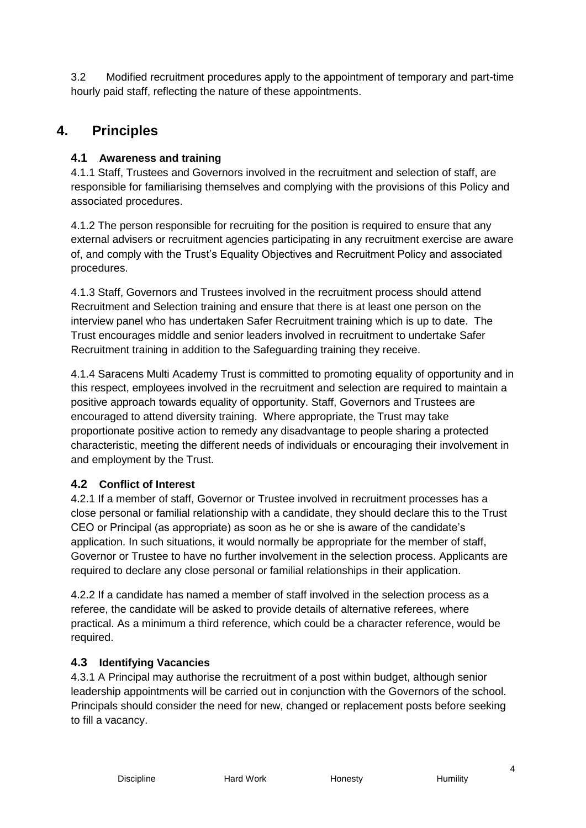3.2 Modified recruitment procedures apply to the appointment of temporary and part-time hourly paid staff, reflecting the nature of these appointments.

# <span id="page-3-0"></span>**4. Principles**

#### <span id="page-3-1"></span>**4.1 Awareness and training**

4.1.1 Staff, Trustees and Governors involved in the recruitment and selection of staff, are responsible for familiarising themselves and complying with the provisions of this Policy and associated procedures.

4.1.2 The person responsible for recruiting for the position is required to ensure that any external advisers or recruitment agencies participating in any recruitment exercise are aware of, and comply with the Trust's Equality Objectives and Recruitment Policy and associated procedures.

4.1.3 Staff, Governors and Trustees involved in the recruitment process should attend Recruitment and Selection training and ensure that there is at least one person on the interview panel who has undertaken Safer Recruitment training which is up to date. The Trust encourages middle and senior leaders involved in recruitment to undertake Safer Recruitment training in addition to the Safeguarding training they receive.

4.1.4 Saracens Multi Academy Trust is committed to promoting equality of opportunity and in this respect, employees involved in the recruitment and selection are required to maintain a positive approach towards equality of opportunity. Staff, Governors and Trustees are encouraged to attend diversity training. Where appropriate, the Trust may take proportionate positive action to remedy any disadvantage to people sharing a protected characteristic, meeting the different needs of individuals or encouraging their involvement in and employment by the Trust.

#### <span id="page-3-2"></span>**4.2 Conflict of Interest**

4.2.1 If a member of staff, Governor or Trustee involved in recruitment processes has a close personal or familial relationship with a candidate, they should declare this to the Trust CEO or Principal (as appropriate) as soon as he or she is aware of the candidate's application. In such situations, it would normally be appropriate for the member of staff, Governor or Trustee to have no further involvement in the selection process. Applicants are required to declare any close personal or familial relationships in their application.

4.2.2 If a candidate has named a member of staff involved in the selection process as a referee, the candidate will be asked to provide details of alternative referees, where practical. As a minimum a third reference, which could be a character reference, would be required.

#### <span id="page-3-3"></span>**4.3 Identifying Vacancies**

4.3.1 A Principal may authorise the recruitment of a post within budget, although senior leadership appointments will be carried out in conjunction with the Governors of the school. Principals should consider the need for new, changed or replacement posts before seeking to fill a vacancy.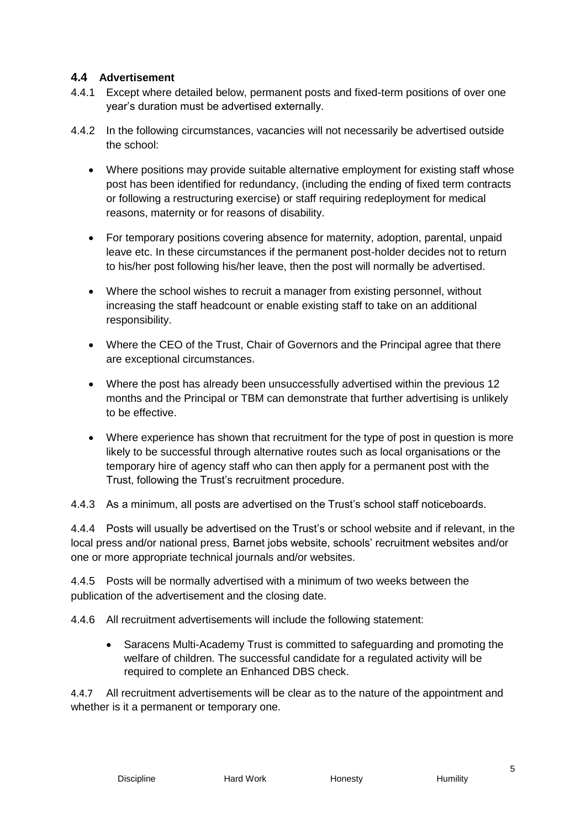#### <span id="page-4-0"></span>**4.4 Advertisement**

- 4.4.1 Except where detailed below, permanent posts and fixed-term positions of over one year's duration must be advertised externally.
- 4.4.2 In the following circumstances, vacancies will not necessarily be advertised outside the school:
	- Where positions may provide suitable alternative employment for existing staff whose post has been identified for redundancy, (including the ending of fixed term contracts or following a restructuring exercise) or staff requiring redeployment for medical reasons, maternity or for reasons of disability.
	- For temporary positions covering absence for maternity, adoption, parental, unpaid leave etc. In these circumstances if the permanent post-holder decides not to return to his/her post following his/her leave, then the post will normally be advertised.
	- Where the school wishes to recruit a manager from existing personnel, without increasing the staff headcount or enable existing staff to take on an additional responsibility.
	- Where the CEO of the Trust, Chair of Governors and the Principal agree that there are exceptional circumstances.
	- Where the post has already been unsuccessfully advertised within the previous 12 months and the Principal or TBM can demonstrate that further advertising is unlikely to be effective.
	- Where experience has shown that recruitment for the type of post in question is more likely to be successful through alternative routes such as local organisations or the temporary hire of agency staff who can then apply for a permanent post with the Trust, following the Trust's recruitment procedure.

4.4.3 As a minimum, all posts are advertised on the Trust's school staff noticeboards.

4.4.4 Posts will usually be advertised on the Trust's or school website and if relevant, in the local press and/or national press, Barnet jobs website, schools' recruitment websites and/or one or more appropriate technical journals and/or websites.

4.4.5 Posts will be normally advertised with a minimum of two weeks between the publication of the advertisement and the closing date.

4.4.6 All recruitment advertisements will include the following statement:

 Saracens Multi-Academy Trust is committed to safeguarding and promoting the welfare of children. The successful candidate for a regulated activity will be required to complete an Enhanced DBS check.

4.4.7 All recruitment advertisements will be clear as to the nature of the appointment and whether is it a permanent or temporary one.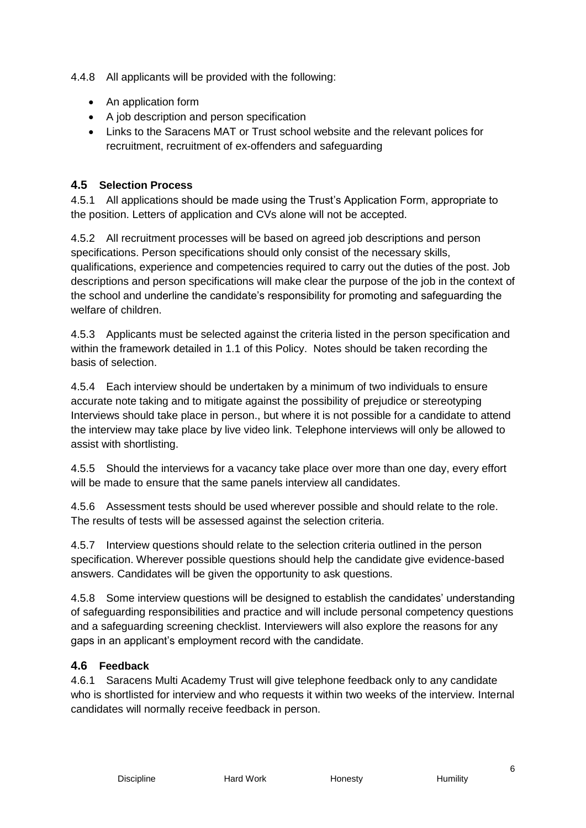4.4.8 All applicants will be provided with the following:

- An application form
- A job description and person specification
- Links to the Saracens MAT or Trust school website and the relevant polices for recruitment, recruitment of ex-offenders and safeguarding

#### <span id="page-5-0"></span>**4.5 Selection Process**

4.5.1 All applications should be made using the Trust's Application Form, appropriate to the position. Letters of application and CVs alone will not be accepted.

4.5.2 All recruitment processes will be based on agreed job descriptions and person specifications. Person specifications should only consist of the necessary skills, qualifications, experience and competencies required to carry out the duties of the post. Job descriptions and person specifications will make clear the purpose of the job in the context of the school and underline the candidate's responsibility for promoting and safeguarding the welfare of children.

4.5.3 Applicants must be selected against the criteria listed in the person specification and within the framework detailed in 1.1 of this Policy. Notes should be taken recording the basis of selection.

4.5.4 Each interview should be undertaken by a minimum of two individuals to ensure accurate note taking and to mitigate against the possibility of prejudice or stereotyping Interviews should take place in person., but where it is not possible for a candidate to attend the interview may take place by live video link. Telephone interviews will only be allowed to assist with shortlisting.

4.5.5 Should the interviews for a vacancy take place over more than one day, every effort will be made to ensure that the same panels interview all candidates.

4.5.6 Assessment tests should be used wherever possible and should relate to the role. The results of tests will be assessed against the selection criteria.

4.5.7 Interview questions should relate to the selection criteria outlined in the person specification. Wherever possible questions should help the candidate give evidence-based answers. Candidates will be given the opportunity to ask questions.

4.5.8 Some interview questions will be designed to establish the candidates' understanding of safeguarding responsibilities and practice and will include personal competency questions and a safeguarding screening checklist. Interviewers will also explore the reasons for any gaps in an applicant's employment record with the candidate.

#### <span id="page-5-1"></span>**4.6 Feedback**

4.6.1 Saracens Multi Academy Trust will give telephone feedback only to any candidate who is shortlisted for interview and who requests it within two weeks of the interview. Internal candidates will normally receive feedback in person.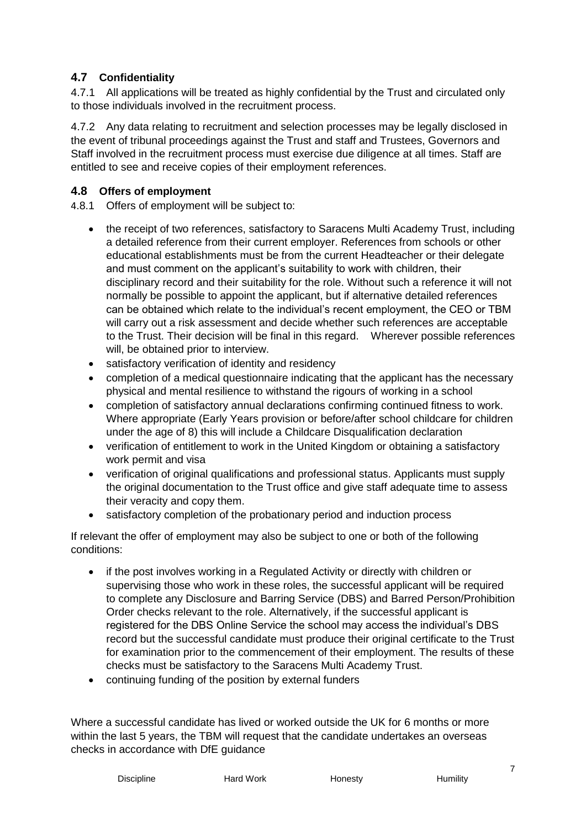#### <span id="page-6-0"></span>**4.7 Confidentiality**

4.7.1 All applications will be treated as highly confidential by the Trust and circulated only to those individuals involved in the recruitment process.

4.7.2 Any data relating to recruitment and selection processes may be legally disclosed in the event of tribunal proceedings against the Trust and staff and Trustees, Governors and Staff involved in the recruitment process must exercise due diligence at all times. Staff are entitled to see and receive copies of their employment references.

#### <span id="page-6-1"></span>**4.8 Offers of employment**

4.8.1 Offers of employment will be subject to:

- the receipt of two references, satisfactory to Saracens Multi Academy Trust, including a detailed reference from their current employer. References from schools or other educational establishments must be from the current Headteacher or their delegate and must comment on the applicant's suitability to work with children, their disciplinary record and their suitability for the role. Without such a reference it will not normally be possible to appoint the applicant, but if alternative detailed references can be obtained which relate to the individual's recent employment, the CEO or TBM will carry out a risk assessment and decide whether such references are acceptable to the Trust. Their decision will be final in this regard. Wherever possible references will, be obtained prior to interview.
- satisfactory verification of identity and residency
- completion of a medical questionnaire indicating that the applicant has the necessary physical and mental resilience to withstand the rigours of working in a school
- completion of satisfactory annual declarations confirming continued fitness to work. Where appropriate (Early Years provision or before/after school childcare for children under the age of 8) this will include a Childcare Disqualification declaration
- verification of entitlement to work in the United Kingdom or obtaining a satisfactory work permit and visa
- verification of original qualifications and professional status. Applicants must supply the original documentation to the Trust office and give staff adequate time to assess their veracity and copy them.
- satisfactory completion of the probationary period and induction process

If relevant the offer of employment may also be subject to one or both of the following conditions:

- if the post involves working in a Regulated Activity or directly with children or supervising those who work in these roles, the successful applicant will be required to complete any Disclosure and Barring Service (DBS) and Barred Person/Prohibition Order checks relevant to the role. Alternatively, if the successful applicant is registered for the DBS Online Service the school may access the individual's DBS record but the successful candidate must produce their original certificate to the Trust for examination prior to the commencement of their employment. The results of these checks must be satisfactory to the Saracens Multi Academy Trust.
- continuing funding of the position by external funders

Where a successful candidate has lived or worked outside the UK for 6 months or more within the last 5 years, the TBM will request that the candidate undertakes an overseas checks in accordance with DfE guidance